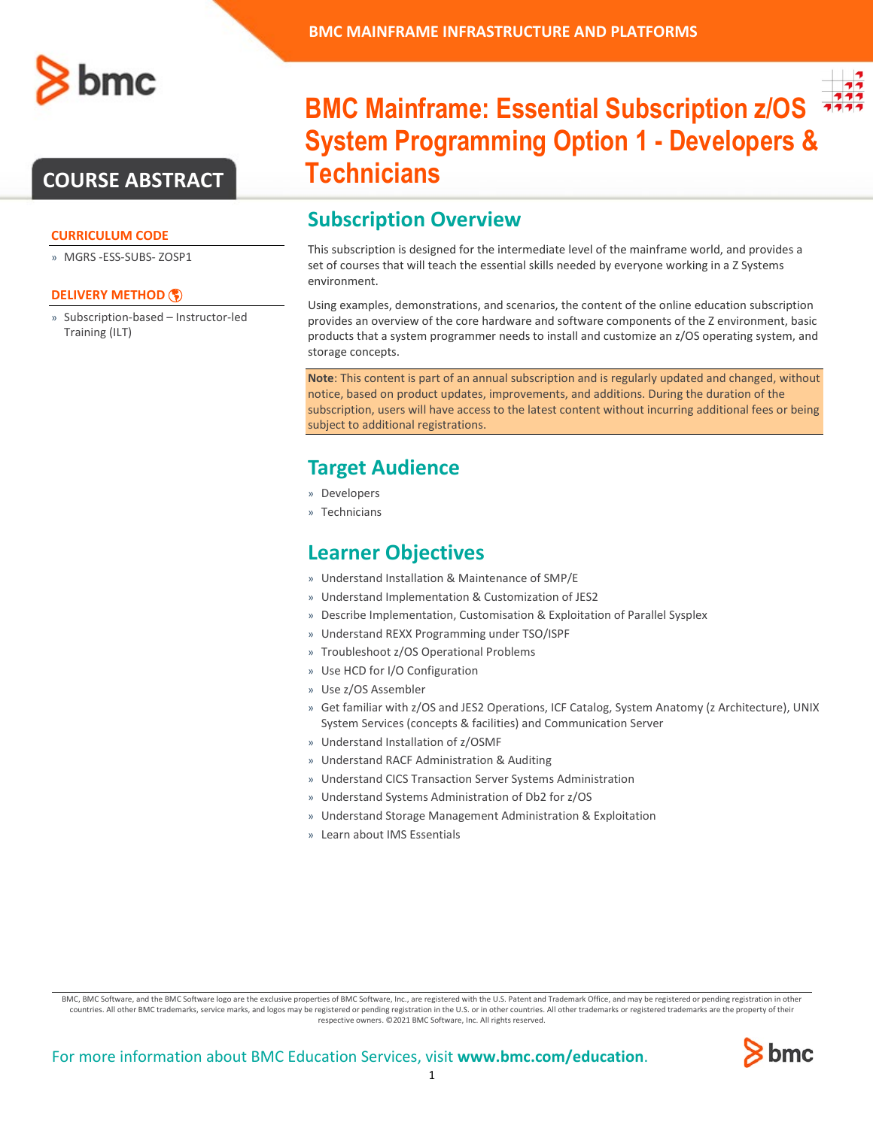

## **COURSE ABSTRACT**

#### **CURRICULUM CODE**

» MGRS -ESS-SUBS- ZOSP1

#### **[DELIVERY METHOD](http://www.bmc.com/education/modality.html)**

» Subscription-based – Instructor-led Training (ILT)



# **BMC Mainframe: Essential Subscription z/OS System Programming Option 1 - Developers & Technicians**

## **Subscription Overview**

This subscription is designed for the intermediate level of the mainframe world, and provides a set of courses that will teach the essential skills needed by everyone working in a Z Systems environment.

Using examples, demonstrations, and scenarios, the content of the online education subscription provides an overview of the core hardware and software components of the Z environment, basic products that a system programmer needs to install and customize an z/OS operating system, and storage concepts.

**Note**: This content is part of an annual subscription and is regularly updated and changed, without notice, based on product updates, improvements, and additions. During the duration of the subscription, users will have access to the latest content without incurring additional fees or being subject to additional registrations.

## **Target Audience**

- » Developers
- » Technicians

### **Learner Objectives**

- » Understand Installation & Maintenance of SMP/E
- » Understand Implementation & Customization of JES2
- » Describe Implementation, Customisation & Exploitation of Parallel Sysplex
- » Understand REXX Programming under TSO/ISPF
- » Troubleshoot z/OS Operational Problems
- » Use HCD for I/O Configuration
- » Use z/OS Assembler
- » Get familiar with z/OS and JES2 Operations, ICF Catalog, System Anatomy (z Architecture), UNIX System Services (concepts & facilities) and Communication Server
- » Understand Installation of z/OSMF
- » Understand RACF Administration & Auditing
- » Understand CICS Transaction Server Systems Administration
- » Understand Systems Administration of Db2 for z/OS
- » Understand Storage Management Administration & Exploitation
- » Learn about IMS Essentials

BMC, BMC Software, and the BMC Software logo are the exclusive properties of BMC Software, Inc., are registered with the U.S. Patent and Trademark Office, and may be registered or pending registration in other countries. All other BMC trademarks, service marks, and logos may be registered or pending registration in the U.S. or in other countries. All other trademarks or registered trademarks are the property of their respective owners. ©2021 BMC Software, Inc. All rights reserved.

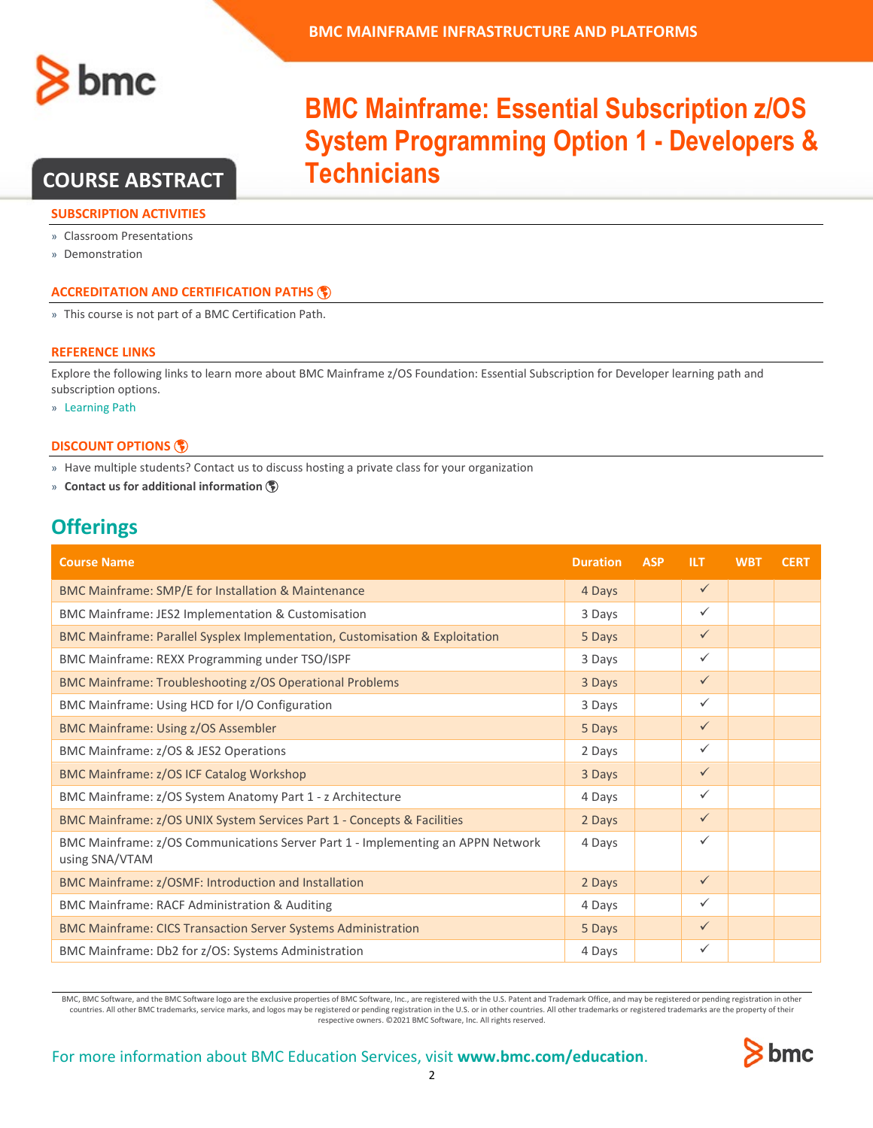

## **COURSE ABSTRACT**

#### **SUBSCRIPTION ACTIVITIES**

» Classroom Presentations

» Demonstration

#### **ACCREDITATION AN[D CERTIFICATION PATHS](http://www.bmc.com/education/certification-programs)**

» This course is not part of a BMC Certification Path.

#### **REFERENCE LINKS**

Explore the following links to learn more about BMC Mainframe z/OS Foundation: Essential Subscription for Developer learning path and subscription options.

» [Learning Path](https://www.bmc.com/education/courses/mainframe-infrastructure-platform-training.html)

#### **[DISCOUNT OPTIONS](http://www.bmc.com/education/customer-service/customer-service.html)**

» Have multiple students? Contact us to discuss hosting a private class for your organization

» **[Contact us for additional information](http://www.bmc.com/education)** 

## **Offerings**

| <b>Course Name</b>                                                                                | <b>Duration</b> | <b>ASP</b> | <b>ILT</b>   | <b>WBT</b> | <b>CERT</b> |
|---------------------------------------------------------------------------------------------------|-----------------|------------|--------------|------------|-------------|
| BMC Mainframe: SMP/E for Installation & Maintenance                                               | 4 Days          |            | $\checkmark$ |            |             |
| <b>BMC Mainframe: JES2 Implementation &amp; Customisation</b>                                     | 3 Days          |            | $\checkmark$ |            |             |
| BMC Mainframe: Parallel Sysplex Implementation, Customisation & Exploitation                      | 5 Days          |            | $\checkmark$ |            |             |
| BMC Mainframe: REXX Programming under TSO/ISPF                                                    | 3 Days          |            | $\checkmark$ |            |             |
| <b>BMC Mainframe: Troubleshooting z/OS Operational Problems</b>                                   | 3 Days          |            | $\checkmark$ |            |             |
| BMC Mainframe: Using HCD for I/O Configuration                                                    | 3 Days          |            | $\checkmark$ |            |             |
| <b>BMC Mainframe: Using z/OS Assembler</b>                                                        | 5 Days          |            | $\checkmark$ |            |             |
| BMC Mainframe: z/OS & JES2 Operations                                                             | 2 Days          |            | $\checkmark$ |            |             |
| <b>BMC Mainframe: z/OS ICF Catalog Workshop</b>                                                   | 3 Days          |            | $\checkmark$ |            |             |
| BMC Mainframe: z/OS System Anatomy Part 1 - z Architecture                                        | 4 Days          |            | ✓            |            |             |
| BMC Mainframe: z/OS UNIX System Services Part 1 - Concepts & Facilities                           | 2 Days          |            | $\checkmark$ |            |             |
| BMC Mainframe: z/OS Communications Server Part 1 - Implementing an APPN Network<br>using SNA/VTAM | 4 Days          |            | ✓            |            |             |
| BMC Mainframe: z/OSMF: Introduction and Installation                                              | 2 Days          |            | $\checkmark$ |            |             |
| BMC Mainframe: RACF Administration & Auditing                                                     | 4 Days          |            | $\checkmark$ |            |             |
| <b>BMC Mainframe: CICS Transaction Server Systems Administration</b>                              | 5 Days          |            | $\checkmark$ |            |             |
| BMC Mainframe: Db2 for z/OS: Systems Administration                                               | 4 Days          |            | $\checkmark$ |            |             |

BMC, BMC Software, and the BMC Software logo are the exclusive properties of BMC Software, Inc., are registered with the U.S. Patent and Trademark Office, and may be registered or pending registration in other countries. All other BMC trademarks, service marks, and logos may be registered or pending registration in the U.S. or in other countries. All other trademarks or registered trademarks are the property of their respective owners. ©2021 BMC Software, Inc. All rights reserved.

# **BMC Mainframe: Essential Subscription z/OS System Programming Option 1 - Developers & Technicians**

For more information about BMC Education Services, visit **[www.bmc.com/education](http://www.bmc.com/education/)**.